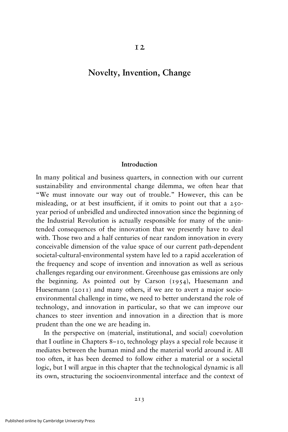# **Novelty, Invention, Change**

12

### **Introduction**

In many political and business quarters, in connection with our current sustainability and environmental change dilemma, we often hear that "We must innovate our way out of trouble." However, this can be misleading, or at best insufficient, if it omits to point out that a 250 year period of unbridled and undirected innovation since the beginning of the Industrial Revolution is actually responsible for many of the unintended consequences of the innovation that we presently have to deal with. Those two and a half centuries of near random innovation in every conceivable dimension of the value space of our current path-dependent societal-cultural-environmental system have led to a rapid acceleration of the frequency and scope of invention and innovation as well as serious challenges regarding our environment. Greenhouse gas emissions are only the beginning. As pointed out by Carson (1954), Huesemann and Huesemann (2011) and many others, if we are to avert a major socioenvironmental challenge in time, we need to better understand the role of technology, and innovation in particular, so that we can improve our chances to steer invention and innovation in a direction that is more prudent than the one we are heading in.

In the perspective on (material, institutional, and social) coevolution that I outline in Chapters 8–10, technology plays a special role because it mediates between the human mind and the material world around it. All too often, it has been deemed to follow either a material or a societal logic, but I will argue in this chapter that the technological dynamic is all its own, structuring the socioenvironmental interface and the context of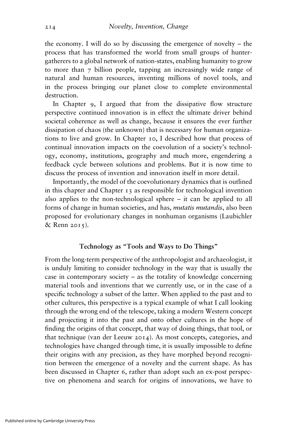the economy. I will do so by discussing the emergence of novelty – the process that has transformed the world from small groups of huntergatherers to a global network of nation-states, enabling humanity to grow to more than 7 billion people, tapping an increasingly wide range of natural and human resources, inventing millions of novel tools, and in the process bringing our planet close to complete environmental destruction.

In Chapter 9, I argued that from the dissipative flow structure perspective continued innovation is in effect the ultimate driver behind societal coherence as well as change, because it ensures the ever further dissipation of chaos (the unknown) that is necessary for human organizations to live and grow. In Chapter 10, I described how that process of continual innovation impacts on the coevolution of a society's technology, economy, institutions, geography and much more, engendering a feedback cycle between solutions and problems. But it is now time to discuss the process of invention and innovation itself in more detail.

Importantly, the model of the coevolutionary dynamics that is outlined in this chapter and Chapter 13 as responsible for technological invention also applies to the non-technological sphere – it can be applied to all forms of change in human societies, and has, *mutatis mutandis*, also been proposed for evolutionary changes in nonhuman organisms (Laubichler & Renn 2015).

## **Technology as "Tools and Ways to Do Things"**

From the long-term perspective of the anthropologist and archaeologist, it is unduly limiting to consider technology in the way that is usually the case in contemporary society – as the totality of knowledge concerning material tools and inventions that we currently use, or in the case of a specific technology a subset of the latter. When applied to the past and to other cultures, this perspective is a typical example of what I call looking through the wrong end of the telescope, taking a modern Western concept and projecting it into the past and onto other cultures in the hope of finding the origins of that concept, that way of doing things, that tool, or that technique (van der Leeuw 2014). As most concepts, categories, and technologies have changed through time, it is usually impossible to define their origins with any precision, as they have morphed beyond recognition between the emergence of a novelty and the current shape. As has been discussed in Chapter 6, rather than adopt such an ex-post perspective on phenomena and search for origins of innovations, we have to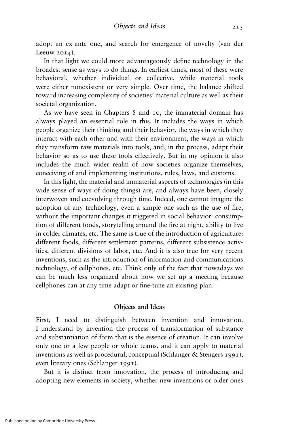adopt an ex-ante one, and search for emergence of novelty (van der Leeuw 2014).

In that light we could more advantageously define technology in the broadest sense as ways to do things. In earliest times, most of these were behavioral, whether individual or collective, while material tools were either nonexistent or very simple. Over time, the balance shifted toward increasing complexity of societies' material culture as well as their societal organization.

As we have seen in Chapters 8 and 10, the immaterial domain has always played an essential role in this. It includes the ways in which people organize their thinking and their behavior, the ways in which they interact with each other and with their environment, the ways in which they transform raw materials into tools, and, in the process, adapt their behavior so as to use these tools effectively. But in my opinion it also includes the much wider realm of how societies organize themselves, conceiving of and implementing institutions, rules, laws, and customs.

In this light, the material and immaterial aspects of technologies (in this wide sense of ways of doing things) are, and always have been, closely interwoven and coevolving through time. Indeed, one cannot imagine the adoption of any technology, even a simple one such as the use of fire, without the important changes it triggered in social behavior: consumption of different foods, storytelling around the fire at night, ability to live in colder climates, etc. The same is true of the introduction of agriculture: different foods, different settlement patterns, different subsistence activities, different divisions of labor, etc. And it is also true for very recent inventions, such as the introduction of information and communications technology, of cellphones, etc. Think only of the fact that nowadays we can be much less organized about how we set up a meeting because cellphones can at any time adapt or fine-tune an existing plan.

### **Objects and Ideas**

First, I need to distinguish between invention and innovation. I understand by invention the process of transformation of substance and substantiation of form that is the essence of creation. It can involve only one or a few people or whole teams, and it can apply to material inventions as well as procedural, conceptual (Schlanger & Stengers 1991), even literary ones (Schlanger 1991)*.*

But it is distinct from innovation, the process of introducing and adopting new elements in society, whether new inventions or older ones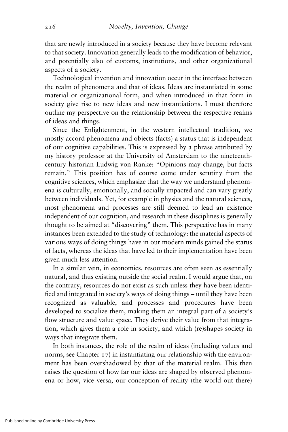that are newly introduced in a society because they have become relevant to that society. Innovation generally leads to the modification of behavior, and potentially also of customs, institutions, and other organizational aspects of a society.

Technological invention and innovation occur in the interface between the realm of phenomena and that of ideas. Ideas are instantiated in some material or organizational form, and when introduced in that form in society give rise to new ideas and new instantiations. I must therefore outline my perspective on the relationship between the respective realms of ideas and things.

Since the Enlightenment, in the western intellectual tradition, we mostly accord phenomena and objects (facts) a status that is independent of our cognitive capabilities. This is expressed by a phrase attributed by my history professor at the University of Amsterdam to the nineteenthcentury historian Ludwig von Ranke: "Opinions may change, but facts remain." This position has of course come under scrutiny from the cognitive sciences, which emphasize that the way we understand phenomena is culturally, emotionally, and socially impacted and can vary greatly between individuals. Yet, for example in physics and the natural sciences, most phenomena and processes are still deemed to lead an existence independent of our cognition, and research in these disciplines is generally thought to be aimed at "discovering" them. This perspective has in many instances been extended to the study of technology: the material aspects of various ways of doing things have in our modern minds gained the status of facts, whereas the ideas that have led to their implementation have been given much less attention.

In a similar vein, in economics, resources are often seen as essentially natural, and thus existing outside the social realm. I would argue that, on the contrary, resources do not exist as such unless they have been identified and integrated in society's ways of doing things – until they have been recognized as valuable, and processes and procedures have been developed to socialize them, making them an integral part of a society's flow structure and value space. They derive their value from that integration, which gives them a role in society, and which (re)shapes society in ways that integrate them.

In both instances, the role of the realm of ideas (including values and norms, see Chapter 17) in instantiating our relationship with the environment has been overshadowed by that of the material realm. This then raises the question of how far our ideas are shaped by observed phenomena or how, vice versa, our conception of reality (the world out there)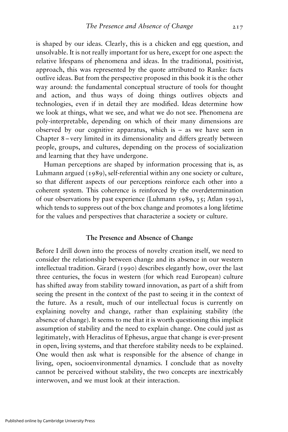is shaped by our ideas. Clearly, this is a chicken and egg question, and unsolvable. It is not really important for us here, except for one aspect: the relative lifespans of phenomena and ideas. In the traditional, positivist, approach, this was represented by the quote attributed to Ranke: facts outlive ideas. But from the perspective proposed in this book it is the other way around: the fundamental conceptual structure of tools for thought and action, and thus ways of doing things outlives objects and technologies, even if in detail they are modified. Ideas determine how we look at things, what we see, and what we do not see. Phenomena are poly-interpretable, depending on which of their many dimensions are observed by our cognitive apparatus, which is – as we have seen in Chapter 8 – very limited in its dimensionality and differs greatly between people, groups, and cultures, depending on the process of socialization and learning that they have undergone.

Human perceptions are shaped by information processing that is, as Luhmann argued (1989), self-referential within any one society or culture, so that different aspects of our perceptions reinforce each other into a coherent system. This coherence is reinforced by the overdetermination of our observations by past experience (Luhmann 1989, 35; Atlan 1992), which tends to suppress out of the box change and promotes a long lifetime for the values and perspectives that characterize a society or culture.

### **The Presence and Absence of Change**

Before I drill down into the process of novelty creation itself, we need to consider the relationship between change and its absence in our western intellectual tradition. Girard (1990) describes elegantly how, over the last three centuries, the focus in western (for which read European) culture has shifted away from stability toward innovation, as part of a shift from seeing the present in the context of the past to seeing it in the context of the future. As a result, much of our intellectual focus is currently on explaining novelty and change, rather than explaining stability (the absence of change). It seems to me that it is worth questioning this implicit assumption of stability and the need to explain change. One could just as legitimately, with Heraclitus of Ephesus, argue that change is ever-present in open, living systems, and that therefore stability needs to be explained. One would then ask what is responsible for the absence of change in living, open, socioenvironmental dynamics. I conclude that as novelty cannot be perceived without stability, the two concepts are inextricably interwoven, and we must look at their interaction.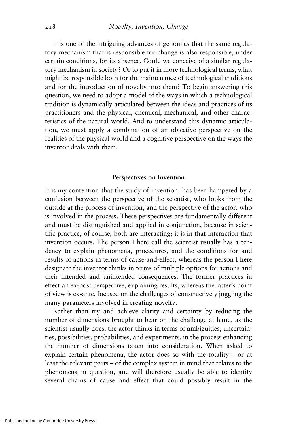It is one of the intriguing advances of genomics that the same regulatory mechanism that is responsible for change is also responsible, under certain conditions, for its absence. Could we conceive of a similar regulatory mechanism in society? Or to put it in more technological terms, what might be responsible both for the maintenance of technological traditions and for the introduction of novelty into them? To begin answering this question, we need to adopt a model of the ways in which a technological tradition is dynamically articulated between the ideas and practices of its practitioners and the physical, chemical, mechanical, and other characteristics of the natural world. And to understand this dynamic articulation, we must apply a combination of an objective perspective on the realities of the physical world and a cognitive perspective on the ways the inventor deals with them.

### **Perspectives on Invention**

It is my contention that the study of invention has been hampered by a confusion between the perspective of the scientist, who looks from the outside at the process of invention, and the perspective of the actor, who is involved in the process. These perspectives are fundamentally different and must be distinguished and applied in conjunction, because in scientific practice, of course, both are interacting; it is in that interaction that invention occurs. The person I here call the scientist usually has a tendency to explain phenomena, procedures, and the conditions for and results of actions in terms of cause-and-effect, whereas the person I here designate the inventor thinks in terms of multiple options for actions and their intended and unintended consequences. The former practices in effect an ex-post perspective, explaining results, whereas the latter's point of view is ex-ante, focused on the challenges of constructively juggling the many parameters involved in creating novelty.

Rather than try and achieve clarity and certainty by reducing the number of dimensions brought to bear on the challenge at hand, as the scientist usually does, the actor thinks in terms of ambiguities, uncertainties, possibilities, probabilities, and experiments, in the process enhancing the number of dimensions taken into consideration. When asked to explain certain phenomena, the actor does so with the totality – or at least the relevant parts – of the complex system in mind that relates to the phenomena in question, and will therefore usually be able to identify several chains of cause and effect that could possibly result in the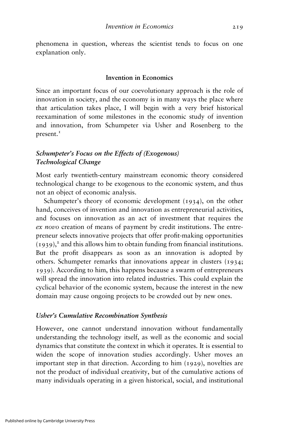phenomena in question, whereas the scientist tends to focus on one explanation only.

### **Invention in Economics**

Since an important focus of our coevolutionary approach is the role of innovation in society, and the economy is in many ways the place where that articulation takes place, I will begin with a very brief historical reexamination of some milestones in the economic study of invention and innovation, from Schumpeter via Usher and Rosenberg to the  $n$ resent. $^{\text{I}}$ 

# *Schumpeter's Focus on the Effects of (Exogenous) Technological Change*

Most early twentieth-century mainstream economic theory considered technological change to be exogenous to the economic system, and thus not an object of economic analysis.

Schumpeter's theory of economic development (1934), on the other hand, conceives of invention and innovation as entrepreneurial activities, and focuses on innovation as an act of investment that requires the *ex novo* creation of means of payment by credit institutions. The entrepreneur selects innovative projects that offer profit-making opportunities  $(1939)<sup>2</sup>$  and this allows him to obtain funding from financial institutions. But the profit disappears as soon as an innovation is adopted by others. Schumpeter remarks that innovations appear in clusters (1934; 1939). According to him, this happens because a swarm of entrepreneurs will spread the innovation into related industries. This could explain the cyclical behavior of the economic system, because the interest in the new domain may cause ongoing projects to be crowded out by new ones.

#### *Usher's Cumulative Recombination Synthesis*

However, one cannot understand innovation without fundamentally understanding the technology itself, as well as the economic and social dynamics that constitute the context in which it operates*.* It is essential to widen the scope of innovation studies accordingly. Usher moves an important step in that direction. According to him (1929), novelties are not the product of individual creativity, but of the cumulative actions of many individuals operating in a given historical, social, and institutional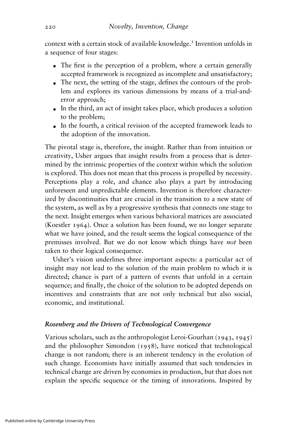context with a certain stock of available knowledge.<sup>3</sup> Invention unfolds in a sequence of four stages:

- The first is the perception of a problem, where a certain generally accepted framework is recognized as incomplete and unsatisfactory;
- The next, the setting of the stage, defines the contours of the problem and explores its various dimensions by means of a trial-anderror approach;
- In the third, an act of insight takes place, which produces a solution to the problem;
- In the fourth, a critical revision of the accepted framework leads to the adoption of the innovation.

The pivotal stage is, therefore, the insight*.* Rather than from intuition or creativity, Usher argues that insight results from a process that is determined by the intrinsic properties of the context within which the solution is explored. This does not mean that this process is propelled by necessity. Perceptions play a role, and chance also plays a part by introducing unforeseen and unpredictable elements. Invention is therefore characterized by discontinuities that are crucial in the transition to a new state of the system, as well as by a progressive synthesis that connects one stage to the next. Insight emerges when various behavioral matrices are associated (Koestler 1964). Once a solution has been found, we no longer separate what we have joined, and the result seems the logical consequence of the premisses involved. But we do not know which things have *not* been taken to their logical consequence.

Usher's vision underlines three important aspects: a particular act of insight may not lead to the solution of the main problem to which it is directed; chance is part of a pattern of events that unfold in a certain sequence; and finally, the choice of the solution to be adopted depends on incentives and constraints that are not only technical but also social, economic, and institutional.

# *Rosenberg and the Drivers of Technological Convergence*

Various scholars, such as the anthropologist Leroi-Gourhan (1943, 1945) and the philosopher Simondon (1958), have noticed that technological change is not random; there is an inherent tendency in the evolution of such change. Economists have initially assumed that such tendencies in technical change are driven by economies in production, but that does not explain the specific sequence or the timing of innovations. Inspired by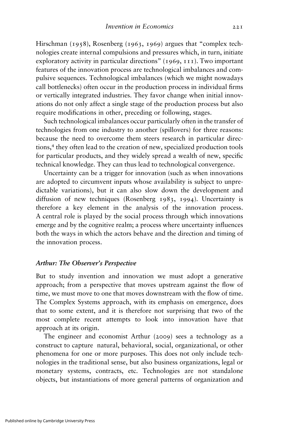Hirschman (1958), Rosenberg (1963, 1969) argues that "complex technologies create internal compulsions and pressures which, in turn, initiate exploratory activity in particular directions" (1969, 111). Two important features of the innovation process are technological imbalances and compulsive sequences. Technological imbalances (which we might nowadays call bottlenecks) often occur in the production process in individual firms or vertically integrated industries. They favor change when initial innovations do not only affect a single stage of the production process but also require modifications in other, preceding or following, stages.

Such technological imbalances occur particularly often in the transfer of technologies from one industry to another (spillovers) for three reasons: because the need to overcome them steers research in particular directions,<sup>4</sup> they often lead to the creation of new, specialized production tools for particular products, and they widely spread a wealth of new, specific technical knowledge. They can thus lead to technological convergence.

Uncertainty can be a trigger for innovation (such as when innovations are adopted to circumvent inputs whose availability is subject to unpredictable variations), but it can also slow down the development and diffusion of new techniques (Rosenberg 1983, 1994). Uncertainty is therefore a key element in the analysis of the innovation process. A central role is played by the social process through which innovations emerge and by the cognitive realm; a process where uncertainty influences both the ways in which the actors behave and the direction and timing of the innovation process.

### *Arthur: The Observer's Perspective*

But to study invention and innovation we must adopt a generative approach; from a perspective that moves upstream against the flow of time, we must move to one that moves downstream with the flow of time. The Complex Systems approach, with its emphasis on emergence, does that to some extent, and it is therefore not surprising that two of the most complete recent attempts to look into innovation have that approach at its origin.

The engineer and economist Arthur (2009) sees a technology as a construct to capture natural, behavioral, social, organizational, or other phenomena for one or more purposes. This does not only include technologies in the traditional sense, but also business organizations, legal or monetary systems, contracts, etc. Technologies are not standalone objects, but instantiations of more general patterns of organization and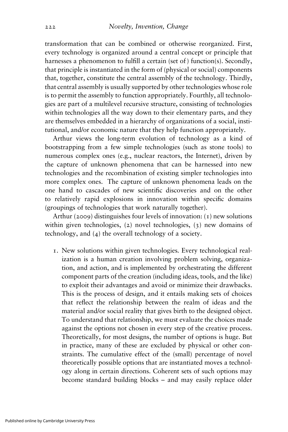transformation that can be combined or otherwise reorganized. First, every technology is organized around a central concept or principle that harnesses a phenomenon to fulfill a certain (set of ) function(s). Secondly, that principle is instantiated in the form of (physical or social) components that, together, constitute the central assembly of the technology. Thirdly, that central assembly is usually supported by other technologies whose role is to permit the assembly to function appropriately. Fourthly, all technologies are part of a multilevel recursive structure, consisting of technologies within technologies all the way down to their elementary parts, and they are themselves embedded in a hierarchy of organizations of a social, institutional, and/or economic nature that they help function appropriately.

Arthur views the long-term evolution of technology as a kind of bootstrapping from a few simple technologies (such as stone tools) to numerous complex ones (e.g., nuclear reactors, the Internet), driven by the capture of unknown phenomena that can be harnessed into new technologies and the recombination of existing simpler technologies into more complex ones. The capture of unknown phenomena leads on the one hand to cascades of new scientific discoveries and on the other to relatively rapid explosions in innovation within specific domains (groupings of technologies that work naturally together).

Arthur (2009) distinguishes four levels of innovation:  $(I)$  new solutions within given technologies, (2) novel technologies, (3) new domains of technology, and (4) the overall technology of a society.

1. New solutions within given technologies*.* Every technological realization is a human creation involving problem solving, organization, and action, and is implemented by orchestrating the different component parts of the creation (including ideas, tools, and the like) to exploit their advantages and avoid or minimize their drawbacks. This is the process of design, and it entails making sets of choices that reflect the relationship between the realm of ideas and the material and/or social reality that gives birth to the designed object. To understand that relationship, we must evaluate the choices made against the options not chosen in every step of the creative process. Theoretically, for most designs, the number of options is huge. But in practice, many of these are excluded by physical or other constraints. The cumulative effect of the (small) percentage of novel theoretically possible options that are instantiated moves a technology along in certain directions. Coherent sets of such options may become standard building blocks – and may easily replace older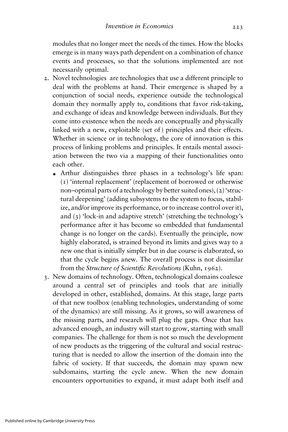modules that no longer meet the needs of the times. How the blocks emerge is in many ways path dependent on a combination of chance events and processes, so that the solutions implemented are not necessarily optimal.

- 2. Novel technologies are technologies that use a different principle to deal with the problems at hand. Their emergence is shaped by a conjunction of social needs, experience outside the technological domain they normally apply to, conditions that favor risk-taking, and exchange of ideas and knowledge between individuals. But they come into existence when the needs are conceptually and physically linked with a new, exploitable (set of ) principles and their effects. Whether in science or in technology, the core of innovation is this process of linking problems and principles. It entails mental association between the two via a mapping of their functionalities onto each other.
	- Arthur distinguishes three phases in a technology's life span: (1) 'internal replacement' (replacement of borrowed or otherwise non–optimal parts of a technology by better suited ones), (2) 'structural deepening' (adding subsystems to the system to focus, stabilize, and/or improve its performance, or to increase control over it), and (3) 'lock-in and adaptive stretch' (stretching the technology's performance after it has become so embedded that fundamental change is no longer on the cards). Eventually the principle, now highly elaborated, is strained beyond its limits and gives way to a new one that is initially simpler but in due course is elaborated, so that the cycle begins anew. The overall process is not dissimilar from the *Structure of Scientific Revolutions* (Kuhn, 1962).
- 3. New domains of technology. Often, technological domains coalesce around a central set of principles and tools that are initially developed in other, established, domains. At this stage, large parts of that new toolbox (enabling technologies, understanding of some of the dynamics) are still missing. As it grows, so will awareness of the missing parts, and research will plug the gaps. Once that has advanced enough, an industry will start to grow, starting with small companies. The challenge for them is not so much the development of new products as the triggering of the cultural and social restructuring that is needed to allow the insertion of the domain into the fabric of society. If that succeeds, the domain may spawn new subdomains, starting the cycle anew. When the new domain encounters opportunities to expand, it must adapt both itself and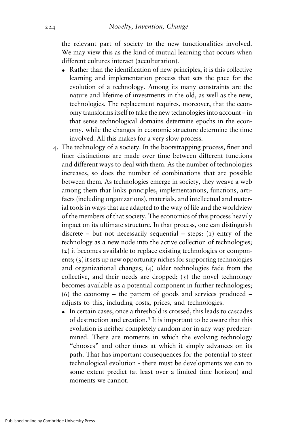the relevant part of society to the new functionalities involved. We may view this as the kind of mutual learning that occurs when different cultures interact (acculturation).

- Rather than the identification of new principles, it is this collective learning and implementation process that sets the pace for the evolution of a technology. Among its many constraints are the nature and lifetime of investments in the old, as well as the new, technologies. The replacement requires, moreover, that the economy transforms itself to take the new technologies into account – in that sense technological domains determine epochs in the economy, while the changes in economic structure determine the time involved. All this makes for a very slow process.
- 4. The technology of a society*.* In the bootstrapping process, finer and finer distinctions are made over time between different functions and different ways to deal with them. As the number of technologies increases, so does the number of combinations that are possible between them. As technologies emerge in society, they weave a web among them that links principles, implementations, functions, artifacts (including organizations), materials, and intellectual and material tools in ways that are adapted to the way of life and the worldview of the members of that society. The economics of this process heavily impact on its ultimate structure. In that process, one can distinguish discrete – but not necessarily sequential – steps:  $(i)$  entry of the technology as a new node into the active collection of technologies; (2) it becomes available to replace existing technologies or components; (3) it sets up new opportunity niches for supporting technologies and organizational changes; (4) older technologies fade from the collective, and their needs are dropped;  $(5)$  the novel technology becomes available as a potential component in further technologies; (6) the economy – the pattern of goods and services produced – adjusts to this, including costs, prices, and technologies.
	- In certain cases, once a threshold is crossed, this leads to cascades of destruction and creation.<sup>5</sup> It is important to be aware that this evolution is neither completely random nor in any way predetermined. There are moments in which the evolving technology "chooses" and other times at which it simply advances on its path. That has important consequences for the potential to steer technological evolution - there must be developments we can to some extent predict (at least over a limited time horizon) and moments we cannot.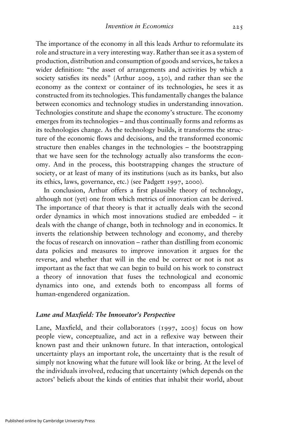The importance of the economy in all this leads Arthur to reformulate its role and structure in a very interesting way. Rather than see it as a system of production, distribution and consumption of goods and services, he takes a wider definition: "the asset of arrangements and activities by which a society satisfies its needs" (Arthur 2009, 230), and rather than see the economy as the context or container of its technologies, he sees it as constructed from its technologies. This fundamentally changes the balance between economics and technology studies in understanding innovation. Technologies constitute and shape the economy's structure*.* The economy emerges from its technologies – and thus continually forms and reforms as its technologies change. As the technology builds, it transforms the structure of the economic flows and decisions, and the transformed economic structure then enables changes in the technologies – the bootstrapping that we have seen for the technology actually also transforms the economy. And in the process, this bootstrapping changes the structure of society, or at least of many of its institutions (such as its banks, but also its ethics, laws, governance, etc.) (see Padgett 1997, 2000).

In conclusion, Arthur offers a first plausible theory of technology, although not (yet) one from which metrics of innovation can be derived. The importance of that theory is that it actually deals with the second order dynamics in which most innovations studied are embedded – it deals with the change of change, both in technology and in economics. It inverts the relationship between technology and economy, and thereby the focus of research on innovation – rather than distilling from economic data policies and measures to improve innovation it argues for the reverse, and whether that will in the end be correct or not is not as important as the fact that we can begin to build on his work to construct a theory of innovation that fuses the technological and economic dynamics into one, and extends both to encompass all forms of human-engendered organization.

#### *Lane and Maxfield: The Innovator's Perspective*

Lane, Maxfield, and their collaborators (1997, 2005) focus on how people view, conceptualize, and act in a reflexive way between their known past and their unknown future. In that interaction, ontological uncertainty plays an important role, the uncertainty that is the result of simply not knowing what the future will look like or bring. At the level of the individuals involved, reducing that uncertainty (which depends on the actors' beliefs about the kinds of entities that inhabit their world, about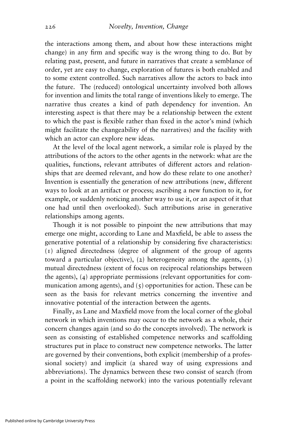the interactions among them, and about how these interactions might change) in any firm and specific way is the wrong thing to do. But by relating past, present, and future in narratives that create a semblance of order, yet are easy to change, exploration of futures is both enabled and to some extent controlled. Such narratives allow the actors to back into the future. The (reduced) ontological uncertainty involved both allows for invention and limits the total range of inventions likely to emerge. The narrative thus creates a kind of path dependency for invention. An interesting aspect is that there may be a relationship between the extent to which the past is flexible rather than fixed in the actor's mind (which might facilitate the changeability of the narratives) and the facility with which an actor can explore new ideas.

At the level of the local agent network, a similar role is played by the attributions of the actors to the other agents in the network: what are the qualities, functions, relevant attributes of different actors and relationships that are deemed relevant, and how do these relate to one another? Invention is essentially the generation of new attributions (new, different ways to look at an artifact or process; ascribing a new function to it, for example, or suddenly noticing another way to use it, or an aspect of it that one had until then overlooked). Such attributions arise in generative relationships among agents.

Though it is not possible to pinpoint the new attributions that may emerge one might, according to Lane and Maxfield, be able to assess the generative potential of a relationship by considering five characteristics: (1) aligned directedness (degree of alignment of the group of agents toward a particular objective), (2) heterogeneity among the agents, (3) mutual directedness (extent of focus on reciprocal relationships between the agents), (4) appropriate permissions (relevant opportunities for communication among agents), and  $(5)$  opportunities for action. These can be seen as the basis for relevant metrics concerning the inventive and innovative potential of the interaction between the agents.

Finally, as Lane and Maxfield move from the local corner of the global network in which inventions may occur to the network as a whole, their concern changes again (and so do the concepts involved). The network is seen as consisting of established competence networks and scaffolding structures put in place to construct new competence networks. The latter are governed by their conventions, both explicit (membership of a professional society) and implicit (a shared way of using expressions and abbreviations). The dynamics between these two consist of search (from a point in the scaffolding network) into the various potentially relevant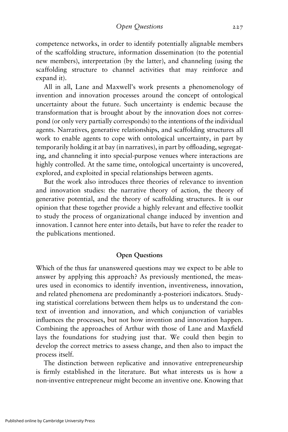competence networks, in order to identify potentially alignable members of the scaffolding structure, information dissemination (to the potential new members), interpretation (by the latter), and channeling (using the scaffolding structure to channel activities that may reinforce and expand it).

All in all, Lane and Maxwell's work presents a phenomenology of invention and innovation processes around the concept of ontological uncertainty about the future. Such uncertainty is endemic because the transformation that is brought about by the innovation does not correspond (or only very partially corresponds) to the intentions of the individual agents. Narratives, generative relationships, and scaffolding structures all work to enable agents to cope with ontological uncertainty, in part by temporarily holding it at bay (in narratives), in part by offloading, segregating, and channeling it into special-purpose venues where interactions are highly controlled. At the same time, ontological uncertainty is uncovered, explored, and exploited in special relationships between agents.

But the work also introduces three theories of relevance to invention and innovation studies: the narrative theory of action, the theory of generative potential, and the theory of scaffolding structures. It is our opinion that these together provide a highly relevant and effective toolkit to study the process of organizational change induced by invention and innovation. I cannot here enter into details, but have to refer the reader to the publications mentioned.

### **Open Questions**

Which of the thus far unanswered questions may we expect to be able to answer by applying this approach? As previously mentioned, the measures used in economics to identify invention, inventiveness, innovation, and related phenomena are predominantly a-posteriori indicators. Studying statistical correlations between them helps us to understand the context of invention and innovation, and which conjunction of variables influences the processes, but not how invention and innovation happen. Combining the approaches of Arthur with those of Lane and Maxfield lays the foundations for studying just that. We could then begin to develop the correct metrics to assess change, and then also to impact the process itself.

The distinction between replicative and innovative entrepreneurship is firmly established in the literature. But what interests us is how a non-inventive entrepreneur might become an inventive one. Knowing that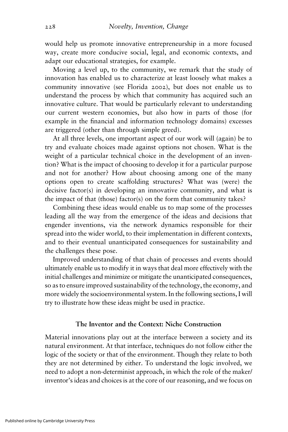would help us promote innovative entrepreneurship in a more focused way, create more conducive social, legal, and economic contexts, and adapt our educational strategies, for example.

Moving a level up, to the community, we remark that the study of innovation has enabled us to characterize at least loosely what makes a community innovative (see Florida 2002), but does not enable us to understand the process by which that community has acquired such an innovative culture. That would be particularly relevant to understanding our current western economies, but also how in parts of those (for example in the financial and information technology domains) excesses are triggered (other than through simple greed).

At all three levels, one important aspect of our work will (again) be to try and evaluate choices made against options not chosen. What is the weight of a particular technical choice in the development of an invention? What is the impact of choosing to develop it for a particular purpose and not for another? How about choosing among one of the many options open to create scaffolding structures? What was (were) the decisive factor(s) in developing an innovative community, and what is the impact of that (those) factor(s) on the form that community takes?

Combining these ideas would enable us to map some of the processes leading all the way from the emergence of the ideas and decisions that engender inventions, via the network dynamics responsible for their spread into the wider world, to their implementation in different contexts, and to their eventual unanticipated consequences for sustainability and the challenges these pose.

Improved understanding of that chain of processes and events should ultimately enable us to modify it in ways that deal more effectively with the initial challenges and minimize or mitigate the unanticipated consequences, so as to ensure improved sustainability of the technology, the economy, and more widely the socioenvironmental system. In the following sections, I will try to illustrate how these ideas might be used in practice.

## **The Inventor and the Context: Niche Construction**

Material innovations play out at the interface between a society and its natural environment. At that interface, techniques do not follow either the logic of the society or that of the environment. Though they relate to both they are not determined by either. To understand the logic involved, we need to adopt a non-determinist approach, in which the role of the maker/ inventor's ideas and choices is at the core of our reasoning, and we focus on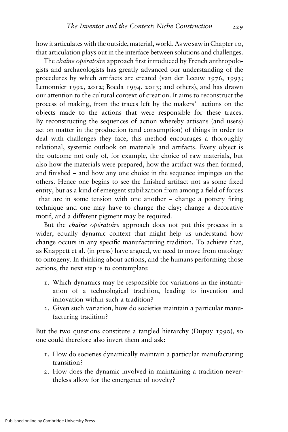how it articulates with the outside, material, world. As we saw in Chapter 10, that articulation plays out in the interface between solutions and challenges.

The *chaîne opératoire* approach first introduced by French anthropologists and archaeologists has greatly advanced our understanding of the procedures by which artifacts are created (van der Leeuw 1976, 1993; Lemonnier 1992, 2012; Boëda 1994, 2013; and others), and has drawn our attention to the cultural context of creation. It aims to reconstruct the process of making, from the traces left by the makers' actions on the objects made to the actions that were responsible for these traces. By reconstructing the sequences of action whereby artisans (and users) act on matter in the production (and consumption) of things in order to deal with challenges they face, this method encourages a thoroughly relational, systemic outlook on materials and artifacts. Every object is the outcome not only of, for example, the choice of raw materials, but also how the materials were prepared, how the artifact was then formed, and finished – and how any one choice in the sequence impinges on the others. Hence one begins to see the finished artifact not as some fixed entity, but as a kind of emergent stabilization from among a field of forces that are in some tension with one another – change a pottery firing technique and one may have to change the clay; change a decorative motif, and a different pigment may be required.

But the *chaîne opératoire* approach does not put this process in a wider, equally dynamic context that might help us understand how change occurs in any specific manufacturing tradition. To achieve that, as Knappett et al. (in press) have argued, we need to move from ontology to ontogeny. In thinking about actions, and the humans performing those actions, the next step is to contemplate:

- 1. Which dynamics may be responsible for variations in the instantiation of a technological tradition, leading to invention and innovation within such a tradition?
- 2. Given such variation, how do societies maintain a particular manufacturing tradition?

But the two questions constitute a tangled hierarchy (Dupuy 1990), so one could therefore also invert them and ask:

- 1. How do societies dynamically maintain a particular manufacturing transition?
- 2. How does the dynamic involved in maintaining a tradition nevertheless allow for the emergence of novelty?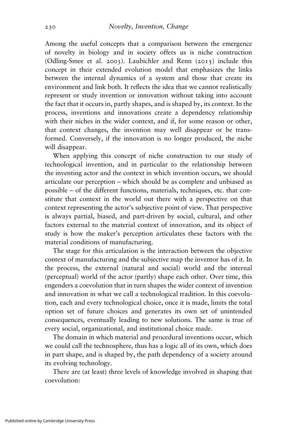Among the useful concepts that a comparison between the emergence of novelty in biology and in society offers us is niche construction (Odling-Smee et al. 2003). Laubichler and Renn (2015) include this concept in their extended evolution model that emphasizes the links between the internal dynamics of a system and those that create its environment and link both. It reflects the idea that we cannot realistically represent or study invention or innovation without taking into account the fact that it occurs in, partly shapes, and is shaped by, its context. In the process, inventions and innovations create a dependency relationship with their niches in the wider context, and if, for some reason or other, that context changes, the invention may well disappear or be transformed. Conversely, if the innovation is no longer produced, the niche will disappear.

When applying this concept of niche construction to our study of technological invention, and in particular to the relationship between the inventing actor and the context in which invention occurs, we should articulate our perception – which should be as complete and unbiased as possible – of the different functions, materials, techniques, etc. that constitute that context in the world out there with a perspective on that context representing the actor's subjective point of view. That perspective is always partial, biased, and part-driven by social, cultural, and other factors external to the material context of innovation, and its object of study is how the maker's perception articulates these factors with the material conditions of manufacturing.

The stage for this articulation is the interaction between the objective context of manufacturing and the subjective map the inventor has of it. In the process, the external (natural and social) world and the internal (perceptual) world of the actor (partly) shape each other. Over time, this engenders a coevolution that in turn shapes the wider context of invention and innovation in what we call a technological tradition. In this coevolution, each and every technological choice, once it is made, limits the total option set of future choices and generates its own set of unintended consequences, eventually leading to new solutions. The same is true of every social, organizational, and institutional choice made.

The domain in which material and procedural inventions occur, which we could call the technosphere, thus has a logic all of its own, which does in part shape, and is shaped by, the path dependency of a society around its evolving technology.

There are (at least) three levels of knowledge involved in shaping that coevolution: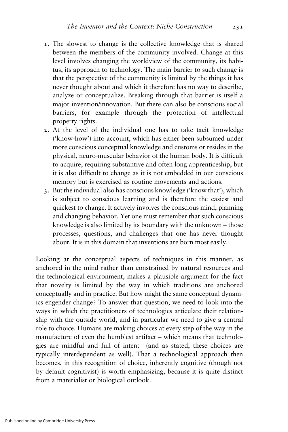- 1. The slowest to change is the collective knowledge that is shared between the members of the community involved. Change at this level involves changing the worldview of the community, its habitus, its approach to technology. The main barrier to such change is that the perspective of the community is limited by the things it has never thought about and which it therefore has no way to describe, analyze or conceptualize. Breaking through that barrier is itself a major invention/innovation. But there can also be conscious social barriers, for example through the protection of intellectual property rights.
- 2. At the level of the individual one has to take tacit knowledge ('know-how') into account, which has either been subsumed under more conscious conceptual knowledge and customs or resides in the physical, neuro-muscular behavior of the human body. It is difficult to acquire, requiring substantive and often long apprenticeship, but it is also difficult to change as it is not embedded in our conscious memory but is exercised as routine movements and actions.
- 3. But the individual also has conscious knowledge ('know that'), which is subject to conscious learning and is therefore the easiest and quickest to change. It actively involves the conscious mind, planning and changing behavior. Yet one must remember that such conscious knowledge is also limited by its boundary with the unknown – those processes, questions, and challenges that one has never thought about. It is in this domain that inventions are born most easily.

Looking at the conceptual aspects of techniques in this manner, as anchored in the mind rather than constrained by natural resources and the technological environment, makes a plausible argument for the fact that novelty is limited by the way in which traditions are anchored conceptually and in practice. But how might the same conceptual dynamics engender change? To answer that question, we need to look into the ways in which the practitioners of technologies articulate their relationship with the outside world, and in particular we need to give a central role to choice. Humans are making choices at every step of the way in the manufacture of even the humblest artifact – which means that technologies are mindful and full of intent (and as stated, these choices are typically interdependent as well). That a technological approach then becomes, in this recognition of choice, inherently cognitive (though not by default cognitivist) is worth emphasizing, because it is quite distinct from a materialist or biological outlook.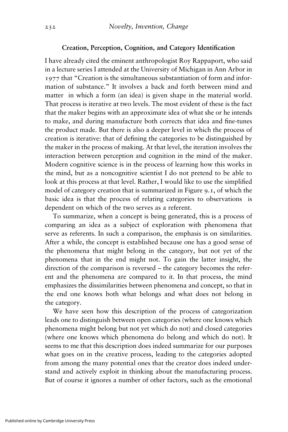### **Creation, Perception, Cognition, and Category Identification**

I have already cited the eminent anthropologist Roy Rappaport, who said in a lecture series I attended at the University of Michigan in Ann Arbor in 1977 that "Creation is the simultaneous substantiation of form and information of substance." It involves a back and forth between mind and matter in which a form (an idea) is given shape in the material world. That process is iterative at two levels. The most evident of these is the fact that the maker begins with an approximate idea of what she or he intends to make, and during manufacture both corrects that idea and fine-tunes the product made. But there is also a deeper level in which the process of creation is iterative: that of defining the categories to be distinguished by the maker in the process of making. At that level, the iteration involves the interaction between perception and cognition in the mind of the maker. Modern cognitive science is in the process of learning how this works in the mind, but as a noncognitive scientist I do not pretend to be able to look at this process at that level. Rather, I would like to use the simplified model of category creation that is summarized in Figure 9.1, of which the basic idea is that the process of relating categories to observations is dependent on which of the two serves as a referent.

To summarize, when a concept is being generated, this is a process of comparing an idea as a subject of exploration with phenomena that serve as referents. In such a comparison, the emphasis is on similarities. After a while, the concept is established because one has a good sense of the phenomena that might belong in the category, but not yet of the phenomena that in the end might not. To gain the latter insight, the direction of the comparison is reversed – the category becomes the referent and the phenomena are compared to it. In that process, the mind emphasizes the dissimilarities between phenomena and concept, so that in the end one knows both what belongs and what does not belong in the category.

We have seen how this description of the process of categorization leads one to distinguish between open categories (where one knows which phenomena might belong but not yet which do not) and closed categories (where one knows which phenomena do belong and which do not). It seems to me that this description does indeed summarize for our purposes what goes on in the creative process, leading to the categories adopted from among the many potential ones that the creator does indeed understand and actively exploit in thinking about the manufacturing process. But of course it ignores a number of other factors, such as the emotional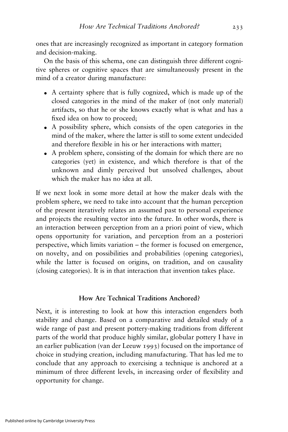ones that are increasingly recognized as important in category formation and decision-making.

On the basis of this schema, one can distinguish three different cognitive spheres or cognitive spaces that are simultaneously present in the mind of a creator during manufacture:

- A certainty sphere that is fully cognized, which is made up of the closed categories in the mind of the maker of (not only material) artifacts, so that he or she knows exactly what is what and has a fixed idea on how to proceed;
- A possibility sphere, which consists of the open categories in the mind of the maker, where the latter is still to some extent undecided and therefore flexible in his or her interactions with matter;
- A problem sphere, consisting of the domain for which there are no categories (yet) in existence, and which therefore is that of the unknown and dimly perceived but unsolved challenges, about which the maker has no idea at all.

If we next look in some more detail at how the maker deals with the problem sphere, we need to take into account that the human perception of the present iteratively relates an assumed past to personal experience and projects the resulting vector into the future. In other words, there is an interaction between perception from an a priori point of view, which opens opportunity for variation, and perception from an a posteriori perspective, which limits variation – the former is focused on emergence, on novelty, and on possibilities and probabilities (opening categories), while the latter is focused on origins, on tradition, and on causality (closing categories). It is in that interaction that invention takes place.

### **How Are Technical Traditions Anchored?**

Next, it is interesting to look at how this interaction engenders both stability and change. Based on a comparative and detailed study of a wide range of past and present pottery-making traditions from different parts of the world that produce highly similar, globular pottery I have in an earlier publication (van der Leeuw 1993) focused on the importance of choice in studying creation, including manufacturing. That has led me to conclude that any approach to exercising a technique is anchored at a minimum of three different levels, in increasing order of flexibility and opportunity for change.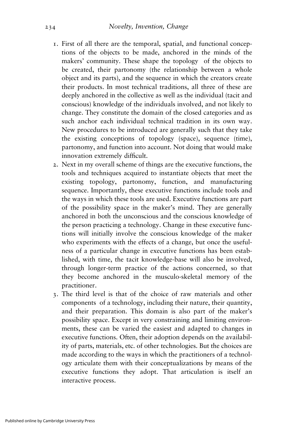- 1. First of all there are the temporal, spatial, and functional conceptions of the objects to be made, anchored in the minds of the makers' community. These shape the topology of the objects to be created, their partonomy (the relationship between a whole object and its parts), and the sequence in which the creators create their products. In most technical traditions, all three of these are deeply anchored in the collective as well as the individual (tacit and conscious) knowledge of the individuals involved, and not likely to change. They constitute the domain of the closed categories and as such anchor each individual technical tradition in its own way. New procedures to be introduced are generally such that they take the existing conceptions of topology (space), sequence (time), partonomy, and function into account. Not doing that would make innovation extremely difficult.
- 2. Next in my overall scheme of things are the executive functions, the tools and techniques acquired to instantiate objects that meet the existing topology, partonomy, function, and manufacturing sequence. Importantly, these executive functions include tools and the ways in which these tools are used. Executive functions are part of the possibility space in the maker's mind. They are generally anchored in both the unconscious and the conscious knowledge of the person practicing a technology. Change in these executive functions will initially involve the conscious knowledge of the maker who experiments with the effects of a change, but once the usefulness of a particular change in executive functions has been established, with time, the tacit knowledge-base will also be involved, through longer-term practice of the actions concerned, so that they become anchored in the musculo-skeletal memory of the practitioner.
- 3. The third level is that of the choice of raw materials and other components of a technology, including their nature, their quantity, and their preparation. This domain is also part of the maker's possibility space. Except in very constraining and limiting environments, these can be varied the easiest and adapted to changes in executive functions. Often, their adoption depends on the availability of parts, materials, etc. of other technologies. But the choices are made according to the ways in which the practitioners of a technology articulate them with their conceptualizations by means of the executive functions they adopt. That articulation is itself an interactive process.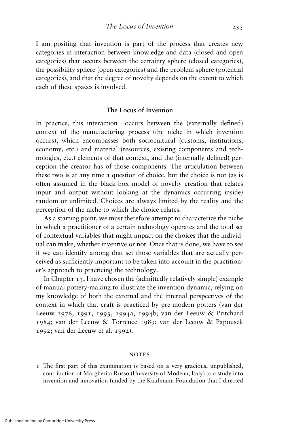I am positing that invention is part of the process that creates new categories in interaction between knowledge and data (closed and open categories) that occurs between the certainty sphere (closed categories), the possibility sphere (open categories) and the problem sphere (potential categories), and that the degree of novelty depends on the extent to which each of these spaces is involved.

### **The Locus of Invention**

In practice, this interaction occurs between the (externally defined) context of the manufacturing process (the niche in which invention occurs), which encompasses both sociocultural (customs, institutions, economy, etc.) and material (resources, existing components and technologies, etc.) elements of that context, and the (internally defined) perception the creator has of those components. The articulation between these two is at any time a question of choice, but the choice is not (as is often assumed in the black-box model of novelty creation that relates input and output without looking at the dynamics occurring inside) random or unlimited. Choices are always limited by the reality and the perception of the niche to which the choice relates.

As a starting point, we must therefore attempt to characterize the niche in which a practitioner of a certain technology operates and the total set of contextual variables that might impact on the choices that the individual can make, whether inventive or not. Once that is done, we have to see if we can identify among that set those variables that are actually perceived as sufficiently important to be taken into account in the practitioner's approach to practicing the technology.

In Chapter  $13$ , I have chosen the (admittedly relatively simple) example of manual pottery-making to illustrate the invention dynamic, relying on my knowledge of both the external and the internal perspectives of the context in which that craft is practiced by pre-modern potters (van der Leeuw 1976, 1991, 1993, 1994a, 1994b; van der Leeuw & Pritchard 1984; van der Leeuw & Torrence 1989; van der Leeuw & Papousek 1992; van der Leeuw et al. 1992).

#### **NOTES**

1 The first part of this examination is based on a very gracious, unpublished, contribution of Margherita Russo (University of Modena, Italy) to a study into invention and innovation funded by the Kaufmann Foundation that I directed